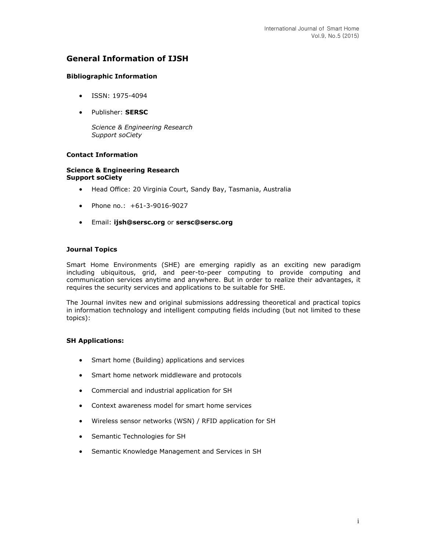# **General Information of IJSH**

### **Bibliographic Information**

- ISSN: 1975-4094
- Publisher: **SERSC**

*Science & Engineering Research Support soCiety*

## **Contact Information**

#### **Science & Engineering Research Support soCiety**

- Head Office: 20 Virginia Court, Sandy Bay, Tasmania, Australia
- Phone no.: +61-3-9016-9027
- Email: **[ijsh@sersc.org](mailto:ijsh@sersc.org)** or **[sersc@sersc.org](mailto:sersc@sersc.org)**

### **Journal Topics**

Smart Home Environments (SHE) are emerging rapidly as an exciting new paradigm including ubiquitous, grid, and peer-to-peer computing to provide computing and communication services anytime and anywhere. But in order to realize their advantages, it requires the security services and applications to be suitable for SHE.

The Journal invites new and original submissions addressing theoretical and practical topics in information technology and intelligent computing fields including (but not limited to these topics):

#### **SH Applications:**

- Smart home (Building) applications and services
- Smart home network middleware and protocols
- Commercial and industrial application for SH
- Context awareness model for smart home services
- Wireless sensor networks (WSN) / RFID application for SH
- Semantic Technologies for SH
- Semantic Knowledge Management and Services in SH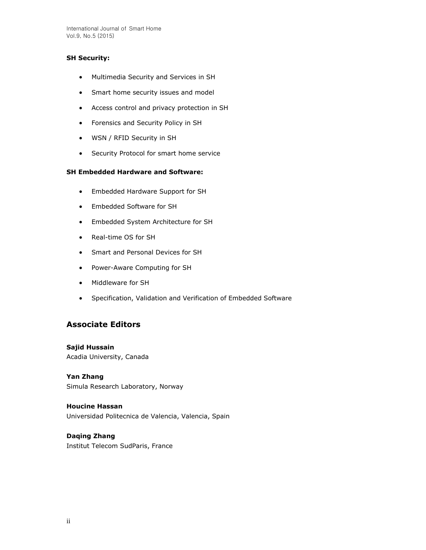International Journal of Smart Home Vol.9, No.5 (2015)

### **SH Security:**

- Multimedia Security and Services in SH
- Smart home security issues and model
- Access control and privacy protection in SH
- Forensics and Security Policy in SH
- WSN / RFID Security in SH
- **•** Security Protocol for smart home service

## **SH Embedded Hardware and Software:**

- Embedded Hardware Support for SH
- Embedded Software for SH
- Embedded System Architecture for SH
- Real-time OS for SH
- Smart and Personal Devices for SH
- Power-Aware Computing for SH
- Middleware for SH
- Specification, Validation and Verification of Embedded Software

## **Associate Editors**

**Sajid Hussain** Acadia University, Canada

**Yan Zhang**  Simula Research Laboratory, Norway

**Houcine Hassan**  Universidad Politecnica de Valencia, Valencia, Spain

**Daqing Zhang** Institut Telecom SudParis, France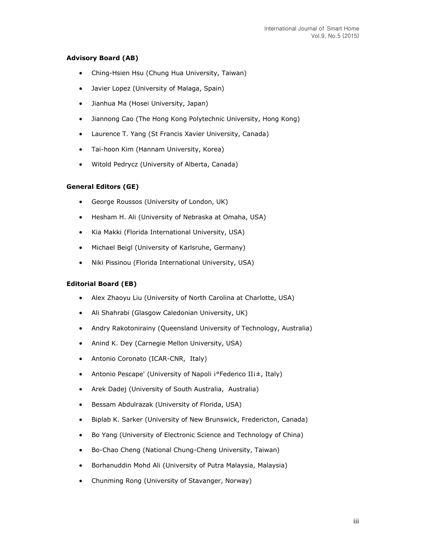## **Advisory Board (AB)**

- Ching-Hsien Hsu (Chung Hua University, Taiwan)
- Javier Lopez (University of Malaga, Spain)
- Jianhua Ma (Hosei University, Japan)
- Jiannong Cao (The Hong Kong Polytechnic University, Hong Kong)
- Laurence T. Yang (St Francis Xavier University, Canada)
- Tai-hoon Kim (Hannam University, Korea)
- Witold Pedrycz (University of Alberta, Canada)

#### **General Editors (GE)**

- George Roussos (University of London, UK)
- Hesham H. Ali (University of Nebraska at Omaha, USA)
- Kia Makki (Florida International University, USA)
- Michael Beigl (University of Karlsruhe, Germany)
- Niki Pissinou (Florida International University, USA)

#### **Editorial Board (EB)**

- Alex Zhaoyu Liu (University of North Carolina at Charlotte, USA)
- Ali Shahrabi (Glasgow Caledonian University, UK)
- Andry Rakotonirainy (Queensland University of Technology, Australia)
- Anind K. Dey (Carnegie Mellon University, USA)
- Antonio Coronato (ICAR-CNR, Italy)
- Antonio Pescape' (University of Napoli i°Federico IIi±, Italy)
- Arek Dadej (University of South Australia, Australia)
- Bessam Abdulrazak (University of Florida, USA)
- Biplab K. Sarker (University of New Brunswick, Fredericton, Canada)
- Bo Yang (University of Electronic Science and Technology of China)
- Bo-Chao Cheng (National Chung-Cheng University, Taiwan)
- Borhanuddin Mohd Ali (University of Putra Malaysia, Malaysia)
- Chunming Rong (University of Stavanger, Norway)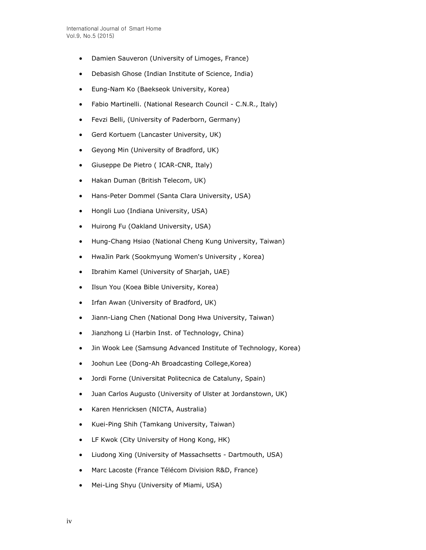- Damien Sauveron (University of Limoges, France)
- Debasish Ghose (Indian Institute of Science, India)
- Eung-Nam Ko (Baekseok University, Korea)
- Fabio Martinelli. (National Research Council C.N.R., Italy)
- Fevzi Belli, (University of Paderborn, Germany)
- Gerd Kortuem (Lancaster University, UK)
- Geyong Min (University of Bradford, UK)
- Giuseppe De Pietro ( ICAR-CNR, Italy)
- Hakan Duman (British Telecom, UK)
- Hans-Peter Dommel (Santa Clara University, USA)
- Hongli Luo (Indiana University, USA)
- Huirong Fu (Oakland University, USA)
- Hung-Chang Hsiao (National Cheng Kung University, Taiwan)
- HwaJin Park (Sookmyung Women's University , Korea)
- Ibrahim Kamel (University of Sharjah, UAE)
- Ilsun You (Koea Bible University, Korea)
- Irfan Awan (University of Bradford, UK)
- Jiann-Liang Chen (National Dong Hwa University, Taiwan)
- Jianzhong Li (Harbin Inst. of Technology, China)
- Jin Wook Lee (Samsung Advanced Institute of Technology, Korea)
- Joohun Lee (Dong-Ah Broadcasting College,Korea)
- Jordi Forne (Universitat Politecnica de Cataluny, Spain)
- Juan Carlos Augusto (University of Ulster at Jordanstown, UK)
- Karen Henricksen (NICTA, Australia)
- Kuei-Ping Shih (Tamkang University, Taiwan)
- LF Kwok (City University of Hong Kong, HK)
- Liudong Xing (University of Massachsetts Dartmouth, USA)
- Marc Lacoste (France Télécom Division R&D, France)
- Mei-Ling Shyu (University of Miami, USA)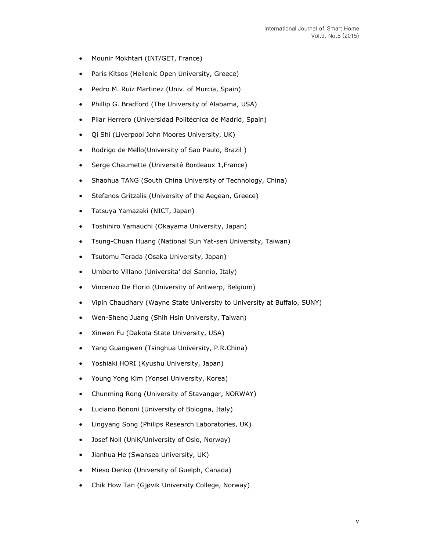- Mounir Mokhtari (INT/GET, France)
- Paris Kitsos (Hellenic Open University, Greece)
- Pedro M. Ruiz Martinez (Univ. of Murcia, Spain)
- Phillip G. Bradford (The University of Alabama, USA)
- Pilar Herrero (Universidad Politécnica de Madrid, Spain)
- Qi Shi (Liverpool John Moores University, UK)
- Rodrigo de Mello(University of Sao Paulo, Brazil)
- Serge Chaumette (Université Bordeaux 1,France)
- Shaohua TANG (South China University of Technology, China)
- Stefanos Gritzalis (University of the Aegean, Greece)
- Tatsuya Yamazaki (NICT, Japan)
- Toshihiro Yamauchi (Okayama University, Japan)
- Tsung-Chuan Huang (National Sun Yat-sen University, Taiwan)
- Tsutomu Terada (Osaka University, Japan)
- Umberto Villano (Universita' del Sannio, Italy)
- Vincenzo De Florio (University of Antwerp, Belgium)
- Vipin Chaudhary (Wayne State University to University at Buffalo, SUNY)
- Wen-Shenq Juang (Shih Hsin University, Taiwan)
- Xinwen Fu (Dakota State University, USA)
- Yang Guangwen (Tsinghua University, P.R.China)
- Yoshiaki HORI (Kyushu University, Japan)
- Young Yong Kim (Yonsei University, Korea)
- Chunming Rong (University of Stavanger, NORWAY)
- Luciano Bononi (University of Bologna, Italy)
- Lingyang Song (Philips Research Laboratories, UK)
- Josef Noll (UniK/University of Oslo, Norway)
- Jianhua He (Swansea University, UK)
- Mieso Denko (University of Guelph, Canada)
- Chik How Tan (Gjøvik University College, Norway)